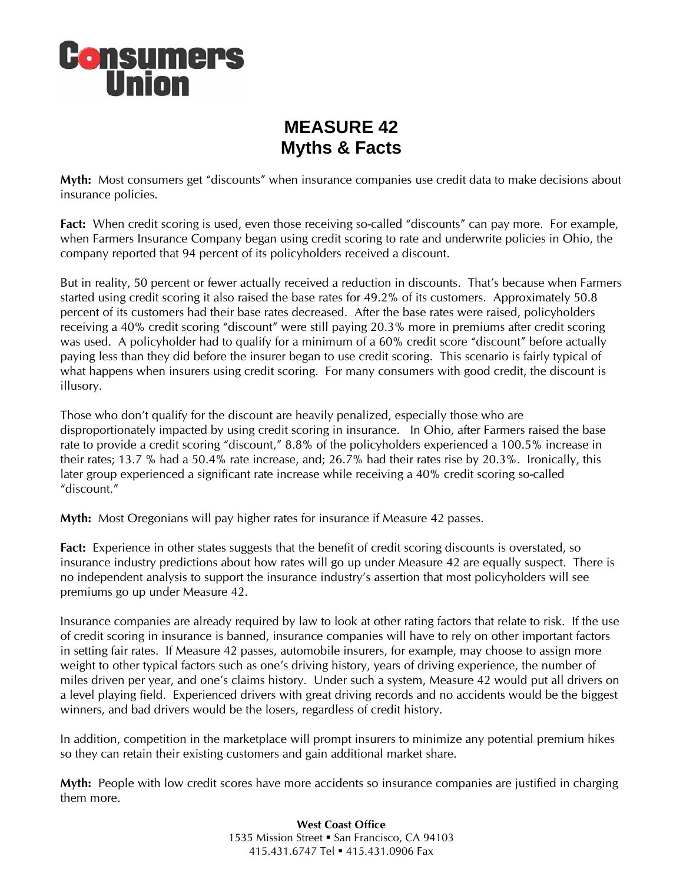

## **MEASURE 42 Myths & Facts**

**Myth:** Most consumers get "discounts" when insurance companies use credit data to make decisions about insurance policies.

**Fact:** When credit scoring is used, even those receiving so-called "discounts" can pay more. For example, when Farmers Insurance Company began using credit scoring to rate and underwrite policies in Ohio, the company reported that 94 percent of its policyholders received a discount.

But in reality, 50 percent or fewer actually received a reduction in discounts. That's because when Farmers started using credit scoring it also raised the base rates for 49.2% of its customers. Approximately 50.8 percent of its customers had their base rates decreased. After the base rates were raised, policyholders receiving a 40% credit scoring "discount" were still paying 20.3% more in premiums after credit scoring was used. A policyholder had to qualify for a minimum of a 60% credit score "discount" before actually paying less than they did before the insurer began to use credit scoring. This scenario is fairly typical of what happens when insurers using credit scoring. For many consumers with good credit, the discount is illusory.

Those who don't qualify for the discount are heavily penalized, especially those who are disproportionately impacted by using credit scoring in insurance. In Ohio, after Farmers raised the base rate to provide a credit scoring "discount," 8.8% of the policyholders experienced a 100.5% increase in their rates; 13.7 % had a 50.4% rate increase, and; 26.7% had their rates rise by 20.3%. Ironically, this later group experienced a significant rate increase while receiving a 40% credit scoring so-called "discount."

**Myth:** Most Oregonians will pay higher rates for insurance if Measure 42 passes.

**Fact:** Experience in other states suggests that the benefit of credit scoring discounts is overstated, so insurance industry predictions about how rates will go up under Measure 42 are equally suspect. There is no independent analysis to support the insurance industry's assertion that most policyholders will see premiums go up under Measure 42.

Insurance companies are already required by law to look at other rating factors that relate to risk. If the use of credit scoring in insurance is banned, insurance companies will have to rely on other important factors in setting fair rates. If Measure 42 passes, automobile insurers, for example, may choose to assign more weight to other typical factors such as one's driving history, years of driving experience, the number of miles driven per year, and one's claims history. Under such a system, Measure 42 would put all drivers on a level playing field. Experienced drivers with great driving records and no accidents would be the biggest winners, and bad drivers would be the losers, regardless of credit history.

In addition, competition in the marketplace will prompt insurers to minimize any potential premium hikes so they can retain their existing customers and gain additional market share.

**Myth:** People with low credit scores have more accidents so insurance companies are justified in charging them more.

> **West Coast Office**  1535 Mission Street • San Francisco, CA 94103 415.431.6747 Tel = 415.431.0906 Fax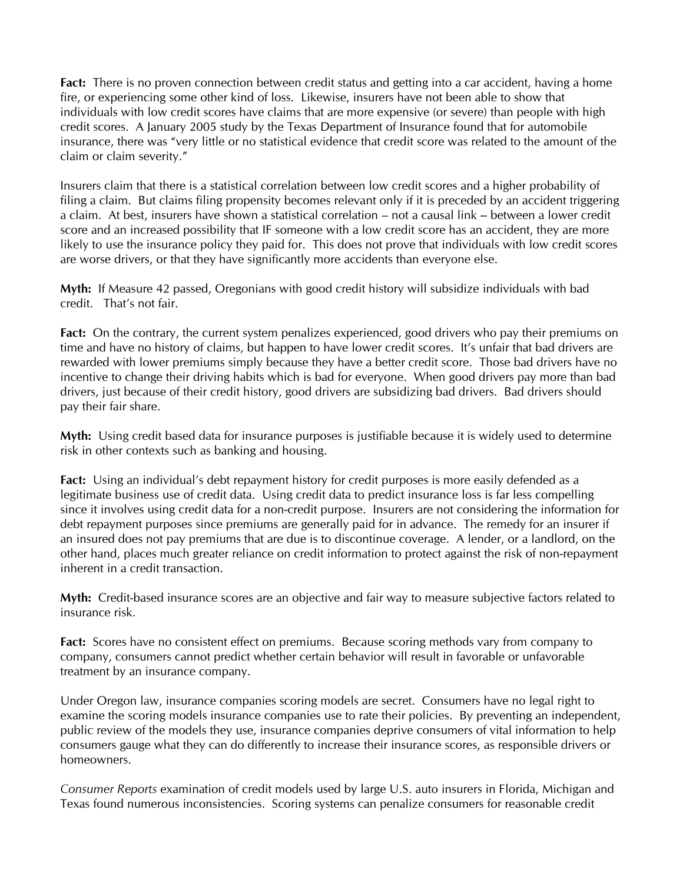**Fact:** There is no proven connection between credit status and getting into a car accident, having a home fire, or experiencing some other kind of loss. Likewise, insurers have not been able to show that individuals with low credit scores have claims that are more expensive (or severe) than people with high credit scores. A January 2005 study by the Texas Department of Insurance found that for automobile insurance, there was "very little or no statistical evidence that credit score was related to the amount of the claim or claim severity."

Insurers claim that there is a statistical correlation between low credit scores and a higher probability of filing a claim. But claims filing propensity becomes relevant only if it is preceded by an accident triggering a claim. At best, insurers have shown a statistical correlation – not a causal link -- between a lower credit score and an increased possibility that IF someone with a low credit score has an accident, they are more likely to use the insurance policy they paid for. This does not prove that individuals with low credit scores are worse drivers, or that they have significantly more accidents than everyone else.

**Myth:** If Measure 42 passed, Oregonians with good credit history will subsidize individuals with bad credit. That's not fair.

**Fact:** On the contrary, the current system penalizes experienced, good drivers who pay their premiums on time and have no history of claims, but happen to have lower credit scores. It's unfair that bad drivers are rewarded with lower premiums simply because they have a better credit score. Those bad drivers have no incentive to change their driving habits which is bad for everyone. When good drivers pay more than bad drivers, just because of their credit history, good drivers are subsidizing bad drivers. Bad drivers should pay their fair share.

**Myth:** Using credit based data for insurance purposes is justifiable because it is widely used to determine risk in other contexts such as banking and housing.

**Fact:** Using an individual's debt repayment history for credit purposes is more easily defended as a legitimate business use of credit data. Using credit data to predict insurance loss is far less compelling since it involves using credit data for a non-credit purpose. Insurers are not considering the information for debt repayment purposes since premiums are generally paid for in advance. The remedy for an insurer if an insured does not pay premiums that are due is to discontinue coverage. A lender, or a landlord, on the other hand, places much greater reliance on credit information to protect against the risk of non-repayment inherent in a credit transaction.

**Myth:** Credit-based insurance scores are an objective and fair way to measure subjective factors related to insurance risk.

**Fact:** Scores have no consistent effect on premiums. Because scoring methods vary from company to company, consumers cannot predict whether certain behavior will result in favorable or unfavorable treatment by an insurance company.

Under Oregon law, insurance companies scoring models are secret. Consumers have no legal right to examine the scoring models insurance companies use to rate their policies. By preventing an independent, public review of the models they use, insurance companies deprive consumers of vital information to help consumers gauge what they can do differently to increase their insurance scores, as responsible drivers or homeowners.

*Consumer Reports* examination of credit models used by large U.S. auto insurers in Florida, Michigan and Texas found numerous inconsistencies. Scoring systems can penalize consumers for reasonable credit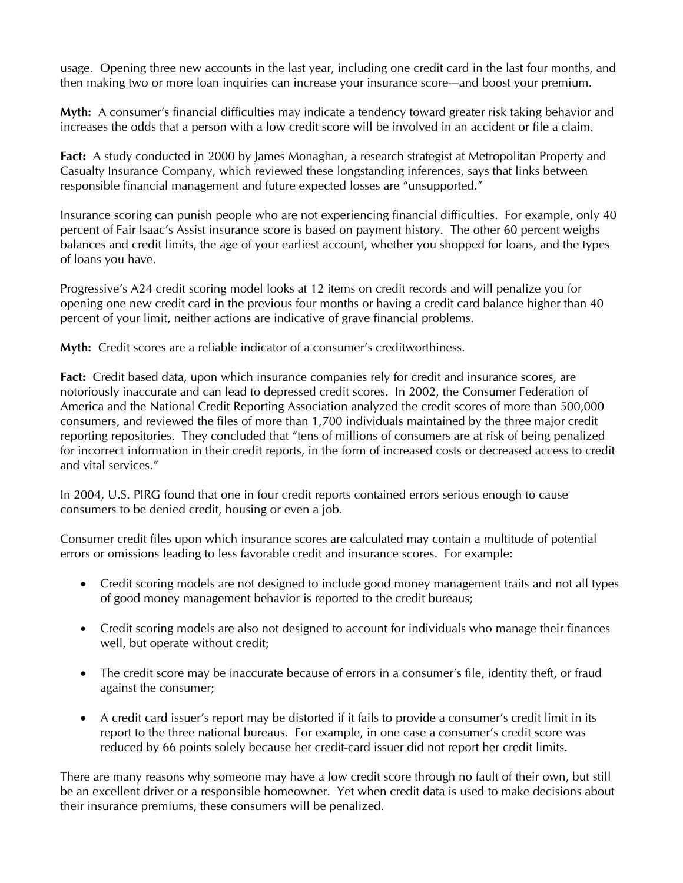usage. Opening three new accounts in the last year, including one credit card in the last four months, and then making two or more loan inquiries can increase your insurance score—and boost your premium.

**Myth:** A consumer's financial difficulties may indicate a tendency toward greater risk taking behavior and increases the odds that a person with a low credit score will be involved in an accident or file a claim.

**Fact:** A study conducted in 2000 by James Monaghan, a research strategist at Metropolitan Property and Casualty Insurance Company, which reviewed these longstanding inferences, says that links between responsible financial management and future expected losses are "unsupported."

Insurance scoring can punish people who are not experiencing financial difficulties. For example, only 40 percent of Fair Isaac's Assist insurance score is based on payment history. The other 60 percent weighs balances and credit limits, the age of your earliest account, whether you shopped for loans, and the types of loans you have.

Progressive's A24 credit scoring model looks at 12 items on credit records and will penalize you for opening one new credit card in the previous four months or having a credit card balance higher than 40 percent of your limit, neither actions are indicative of grave financial problems.

**Myth:** Credit scores are a reliable indicator of a consumer's creditworthiness.

**Fact:** Credit based data, upon which insurance companies rely for credit and insurance scores, are notoriously inaccurate and can lead to depressed credit scores. In 2002, the Consumer Federation of America and the National Credit Reporting Association analyzed the credit scores of more than 500,000 consumers, and reviewed the files of more than 1,700 individuals maintained by the three major credit reporting repositories. They concluded that "tens of millions of consumers are at risk of being penalized for incorrect information in their credit reports, in the form of increased costs or decreased access to credit and vital services."

In 2004, U.S. PIRG found that one in four credit reports contained errors serious enough to cause consumers to be denied credit, housing or even a job.

Consumer credit files upon which insurance scores are calculated may contain a multitude of potential errors or omissions leading to less favorable credit and insurance scores. For example:

- Credit scoring models are not designed to include good money management traits and not all types of good money management behavior is reported to the credit bureaus;
- Credit scoring models are also not designed to account for individuals who manage their finances well, but operate without credit;
- The credit score may be inaccurate because of errors in a consumer's file, identity theft, or fraud against the consumer;
- A credit card issuer's report may be distorted if it fails to provide a consumer's credit limit in its report to the three national bureaus. For example, in one case a consumer's credit score was reduced by 66 points solely because her credit-card issuer did not report her credit limits.

There are many reasons why someone may have a low credit score through no fault of their own, but still be an excellent driver or a responsible homeowner. Yet when credit data is used to make decisions about their insurance premiums, these consumers will be penalized.